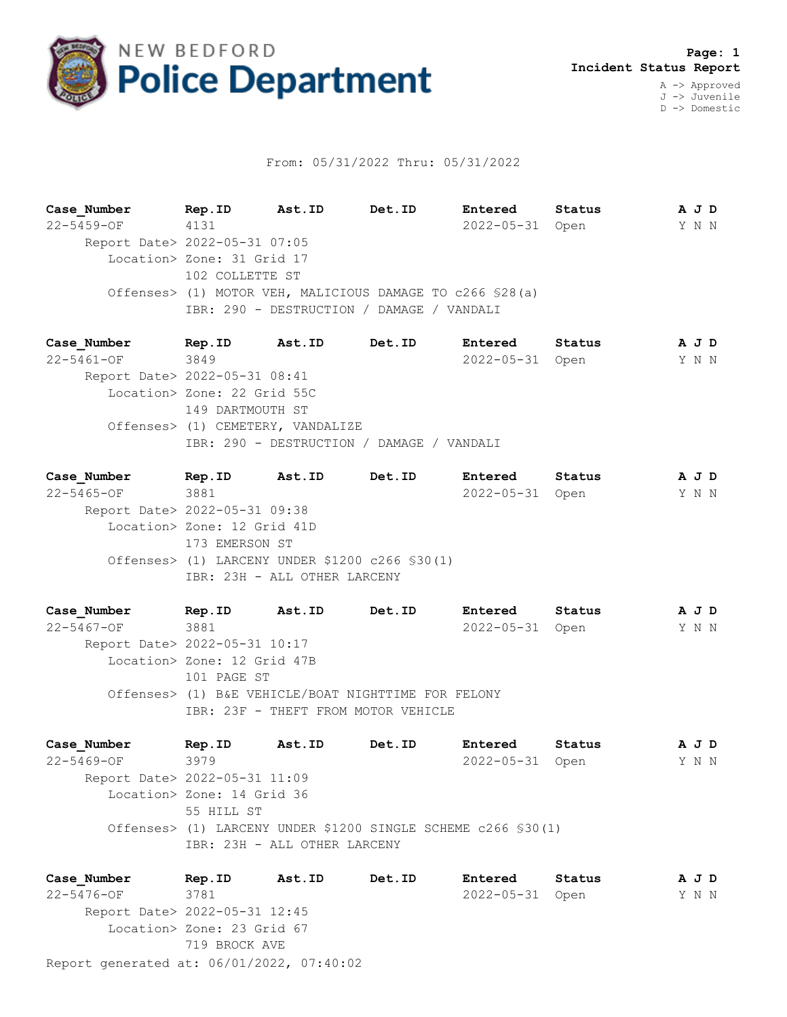

## From: 05/31/2022 Thru: 05/31/2022

**Case\_Number Rep.ID Ast.ID Det.ID Entered Status A J D** 22-5459-OF 4131 2022-05-31 Open Y N N Report Date> 2022-05-31 07:05 Location> Zone: 31 Grid 17 102 COLLETTE ST Offenses> (1) MOTOR VEH, MALICIOUS DAMAGE TO c266 §28(a) IBR: 290 - DESTRUCTION / DAMAGE / VANDALI

**Case\_Number Rep.ID Ast.ID Det.ID Entered Status A J D** 22-5461-OF 3849 2022-05-31 Open Y N N Report Date> 2022-05-31 08:41 Location> Zone: 22 Grid 55C 149 DARTMOUTH ST Offenses> (1) CEMETERY, VANDALIZE IBR: 290 - DESTRUCTION / DAMAGE / VANDALI

**Case\_Number Rep.ID Ast.ID Det.ID Entered Status A J D** 22-5465-OF 3881 2022-05-31 Open Y N N Report Date> 2022-05-31 09:38 Location> Zone: 12 Grid 41D 173 EMERSON ST Offenses> (1) LARCENY UNDER \$1200 c266 §30(1) IBR: 23H - ALL OTHER LARCENY

**Case\_Number Rep.ID Ast.ID Det.ID Entered Status A J D** 22-5467-OF 3881 2022-05-31 Open Y N N Report Date> 2022-05-31 10:17 Location> Zone: 12 Grid 47B 101 PAGE ST Offenses> (1) B&E VEHICLE/BOAT NIGHTTIME FOR FELONY IBR: 23F - THEFT FROM MOTOR VEHICLE

**Case\_Number Rep.ID Ast.ID Det.ID Entered Status A J D** 22-5469-OF 3979 2022-05-31 Open Y N N Report Date> 2022-05-31 11:09 Location> Zone: 14 Grid 36 55 HILL ST Offenses> (1) LARCENY UNDER \$1200 SINGLE SCHEME c266 §30(1) IBR: 23H - ALL OTHER LARCENY

Report generated at: 06/01/2022, 07:40:02 **Case\_Number Rep.ID Ast.ID Det.ID Entered Status A J D** 22-5476-OF 3781 2022-05-31 Open Y N N Report Date> 2022-05-31 12:45 Location> Zone: 23 Grid 67 719 BROCK AVE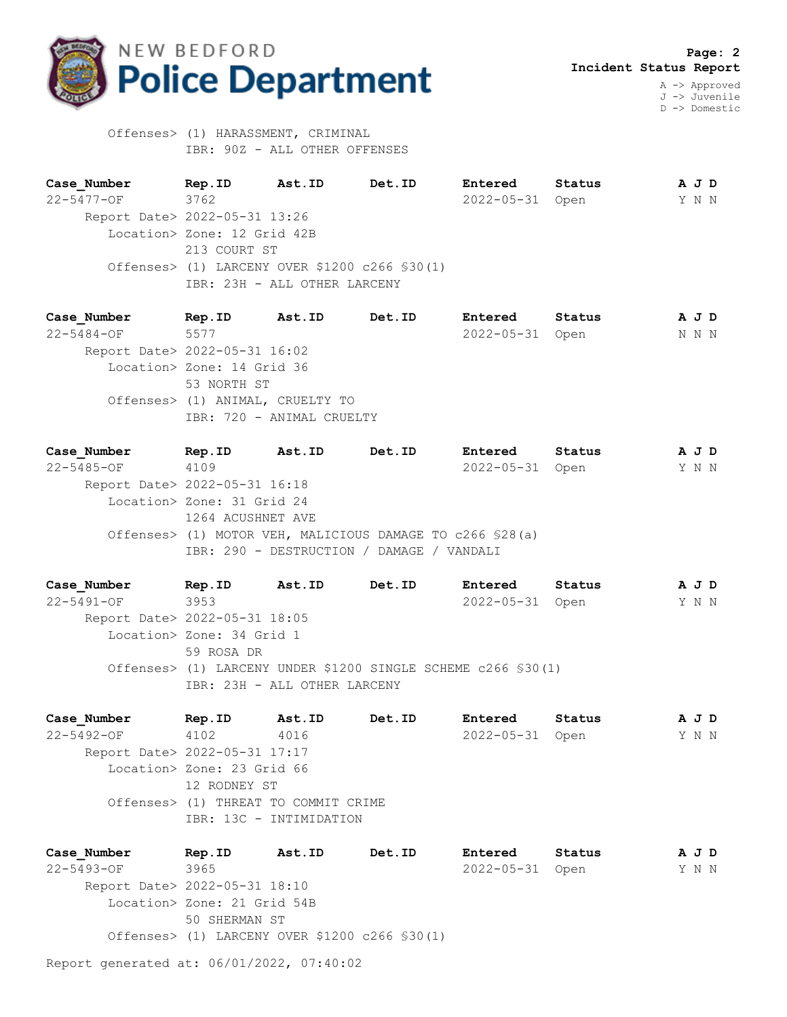

D -> Domestic

 Offenses> (1) HARASSMENT, CRIMINAL IBR: 90Z - ALL OTHER OFFENSES

**Case\_Number Rep.ID Ast.ID Det.ID Entered Status A J D** 22-5477-OF 3762 2022-05-31 Open Y N N Report Date> 2022-05-31 13:26 Location> Zone: 12 Grid 42B 213 COURT ST Offenses> (1) LARCENY OVER \$1200 c266 §30(1) IBR: 23H - ALL OTHER LARCENY

**Case\_Number Rep.ID Ast.ID Det.ID Entered Status A J D** 22-5484-OF 5577 2022-05-31 Open N N N Report Date> 2022-05-31 16:02 Location> Zone: 14 Grid 36 53 NORTH ST Offenses> (1) ANIMAL, CRUELTY TO IBR: 720 - ANIMAL CRUELTY

**Case\_Number Rep.ID Ast.ID Det.ID Entered Status A J D** 22-5485-OF 4109 2022-05-31 Open Y N N Report Date> 2022-05-31 16:18 Location> Zone: 31 Grid 24 1264 ACUSHNET AVE Offenses> (1) MOTOR VEH, MALICIOUS DAMAGE TO c266 §28(a) IBR: 290 - DESTRUCTION / DAMAGE / VANDALI

**Case\_Number Rep.ID Ast.ID Det.ID Entered Status A J D** 22-5491-OF 3953 2022-05-31 Open Y N N Report Date> 2022-05-31 18:05 Location> Zone: 34 Grid 1 59 ROSA DR Offenses> (1) LARCENY UNDER \$1200 SINGLE SCHEME c266 §30(1) IBR: 23H - ALL OTHER LARCENY

**Case\_Number Rep.ID Ast.ID Det.ID Entered Status A J D** 22-5492-OF 4102 4016 2022-05-31 Open Y N N Report Date> 2022-05-31 17:17 Location> Zone: 23 Grid 66 12 RODNEY ST Offenses> (1) THREAT TO COMMIT CRIME IBR: 13C - INTIMIDATION

**Case\_Number Rep.ID Ast.ID Det.ID Entered Status A J D** 22-5493-OF 3965 2022-05-31 Open Y N N Report Date> 2022-05-31 18:10 Location> Zone: 21 Grid 54B 50 SHERMAN ST Offenses> (1) LARCENY OVER \$1200 c266 §30(1)

Report generated at: 06/01/2022, 07:40:02